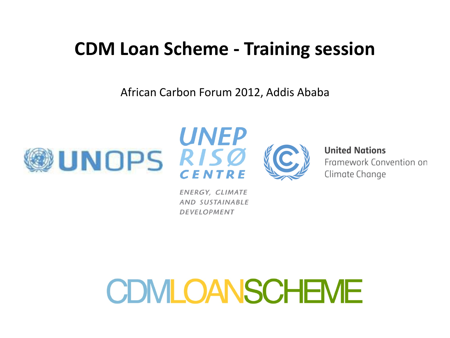### **CDM Loan Scheme - Training session**

African Carbon Forum 2012, Addis Ababa







**United Nations** 

Framework Convention on Climate Change

ENERGY, CLIMATE AND SUSTAINABLE **DEVELOPMENT**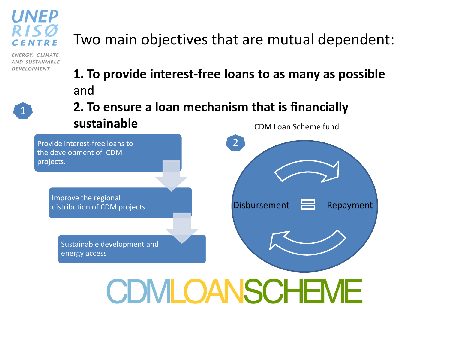

ENERGY, CLIMATE AND SUSTAINABLE **DEVELOPMENT** 

1

#### Two main objectives that are mutual dependent:

- **1. To provide interest-free loans to as many as possible** and
- CDM Loan Scheme fund **2. To ensure a loan mechanism that is financially sustainable**

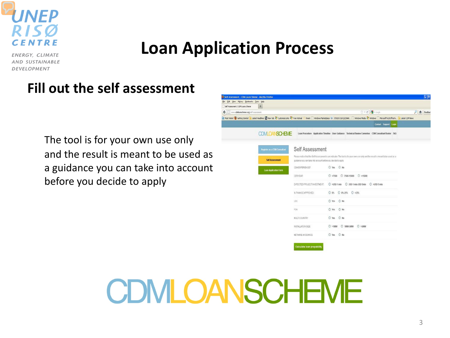

#### **Loan Application Process**

ENERGY, CLIMATE AND SUSTAINABLE **DEVELOPMENT** 

#### **Fill out the self assessment**

The tool is for your own use only and the result is meant to be used as a guidance you can take into account before you decide to apply

| Self Assessment   CDM Loans Sheme - Mozilla Firefox |                                                                                                                                                                                                             |                                                                |                                                                                                                                   |                                |                               | $\Box$      |
|-----------------------------------------------------|-------------------------------------------------------------------------------------------------------------------------------------------------------------------------------------------------------------|----------------------------------------------------------------|-----------------------------------------------------------------------------------------------------------------------------------|--------------------------------|-------------------------------|-------------|
| Ele Edit Yow Hybry Bookwarks Josh Help              |                                                                                                                                                                                                             |                                                                |                                                                                                                                   |                                |                               |             |
| Self Assessment   CEM Loans Sheme                   | $+$                                                                                                                                                                                                         |                                                                |                                                                                                                                   |                                |                               |             |
| <       www.philoanscheme.org/self-assessment       |                                                                                                                                                                                                             |                                                                |                                                                                                                                   |                                | ☆▼C H<br><th>户 合 Feedbat</th> | 户 合 Feedbat |
|                                                     | E Mos Veted @ Getting Started a Latest Headines Ed May Table To Customate Life Free Hotmal / Riven C Windows Marketplace EU JTDEDCLUDEC20AM. C Windows C Windows C Windows C Microsoft Cath Latest CEM News |                                                                |                                                                                                                                   |                                |                               |             |
|                                                     |                                                                                                                                                                                                             |                                                                |                                                                                                                                   |                                | Contact Support Login         |             |
|                                                     | <b>CDM OANSCHEME</b>                                                                                                                                                                                        |                                                                | Loan Procedure Application Timeline User Guidance Technical Review Commitee CDM Consultant Roster FAO                             |                                |                               |             |
|                                                     | Register as a CDN Consultant                                                                                                                                                                                | Self Assessment                                                |                                                                                                                                   |                                |                               |             |
|                                                     | <b>Self Assessment</b>                                                                                                                                                                                      | puidance you can take into account before you decide to apply. | Please notice that the Self Assessment is an indicator. The tool is for your own use only and the result is meant to be used as a |                                |                               |             |
|                                                     | Loan Application Form                                                                                                                                                                                       | COM EXPERIENCE?                                                | O Yes O No                                                                                                                        |                                |                               |             |
|                                                     |                                                                                                                                                                                                             | CERNEAR                                                        |                                                                                                                                   |                                |                               |             |
|                                                     |                                                                                                                                                                                                             | EIGRECTED PROJECT INVESTMENT:                                  |                                                                                                                                   |                                |                               |             |
|                                                     |                                                                                                                                                                                                             | % FINANCE APPROVED:                                            | O 0% O 0%-25% O >25%                                                                                                              |                                |                               |             |
|                                                     |                                                                                                                                                                                                             | LDC                                                            | O'ms O No                                                                                                                         |                                |                               |             |
|                                                     |                                                                                                                                                                                                             | POA                                                            | O Yes O No.                                                                                                                       |                                |                               |             |
|                                                     |                                                                                                                                                                                                             | <b>WAIT COUNTRY</b>                                            | O yes O No                                                                                                                        |                                |                               |             |
|                                                     |                                                                                                                                                                                                             | INSTALLATION SIZE:                                             |                                                                                                                                   | $0>110N$ $0$ 100V-SI0V $0>50N$ |                               |             |
|                                                     |                                                                                                                                                                                                             | <b>WETHANE AVOIDANCE</b>                                       | O Yes O No                                                                                                                        |                                |                               |             |
|                                                     |                                                                                                                                                                                                             |                                                                |                                                                                                                                   |                                |                               |             |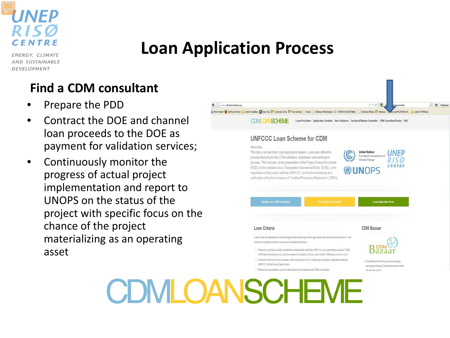

#### **Loan Application Process**

ENERGY, CLIMATE AND SUSTAINABLE **DEVELOPMENT** 

#### **Find a CDM consultant**

- Prepare the PDD
- Contract the DOE and channel loan proceeds to the DOE as payment for validation services;
- Continuously monitor the progress of actual project implementation and report to UNOPS on the status of the project with specific focus on the chance of the project materializing as an operating asset

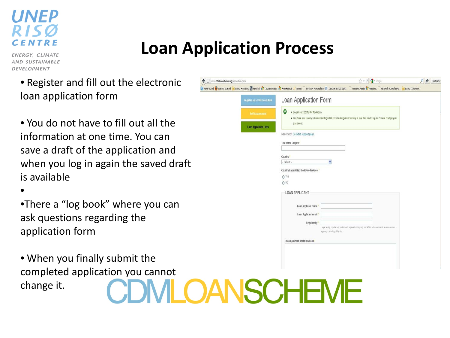### **Loan Application Process**

ENERGY, CLIMATE AND SUSTAINABLE DEVELOPMENT

- Register and fill out the electronic loan application form
- You do not have to fill out all the information at one time. You can save a draft of the application and when you log in again the saved draft is available

•

- •There a "log book" where you can ask questions regarding the application form
- When you finally submit the completed application you cannot change it.

| www.cdmloanscheme.org/application-form                                                                                                                                                                                                          |                                                          | ☆▽C M-Google                                                                                                            | 合<br>Feedback |
|-------------------------------------------------------------------------------------------------------------------------------------------------------------------------------------------------------------------------------------------------|----------------------------------------------------------|-------------------------------------------------------------------------------------------------------------------------|---------------|
| 3 Mod Wand @ Gettry Sated i <u>n</u> Lated Headnes <mark>o</mark> f New Tob of Costmostics of Presidents of Modern Conduct Deletions on Discovering Conducts Conduct Conducts Conducts Control Conducts Control on Conducts Control on Conducts |                                                          |                                                                                                                         |               |
| Register as a CDM Consultant                                                                                                                                                                                                                    | Loan Application Form                                    |                                                                                                                         |               |
| <b>Self Assessment</b><br><b>Loan Application Form</b>                                                                                                                                                                                          | V<br>. Log in successful for fredstaun.<br>password.     | . You have just used your one-fime login link. It is no longer necessary to use this link to log in. Please change your |               |
|                                                                                                                                                                                                                                                 | Need help? Go to the support page.                       |                                                                                                                         |               |
|                                                                                                                                                                                                                                                 | litle of the Project *                                   |                                                                                                                         |               |
|                                                                                                                                                                                                                                                 | Country'<br>-Select-<br>Y.                               |                                                                                                                         |               |
|                                                                                                                                                                                                                                                 | Country has ratified the Kyoto Protocol<br>O Yes<br>O No |                                                                                                                         |               |
|                                                                                                                                                                                                                                                 | LOAN APPLICANT                                           |                                                                                                                         |               |
|                                                                                                                                                                                                                                                 | I nan Applicant name                                     |                                                                                                                         |               |
|                                                                                                                                                                                                                                                 | Loan Applicant email<br>Legal entity                     | Legal entity can be: an individual. a private company, an NGO, a Ouvernment, a Government                               |               |
|                                                                                                                                                                                                                                                 | agency, a Municipality, etc.                             |                                                                                                                         |               |
|                                                                                                                                                                                                                                                 | Loan Applicant postal address                            |                                                                                                                         |               |
|                                                                                                                                                                                                                                                 |                                                          |                                                                                                                         |               |
|                                                                                                                                                                                                                                                 |                                                          |                                                                                                                         |               |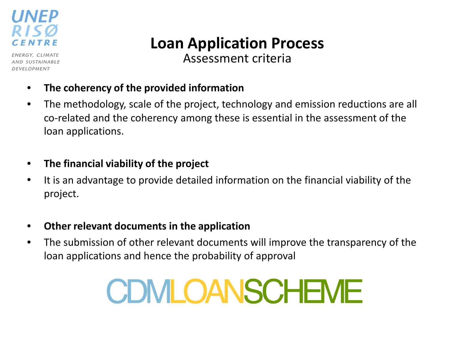

ENERGY, CLIMATE AND SUSTAINABLE DEVELOPMENT

### **Loan Application Process**

Assessment criteria

- **The coherency of the provided information**
- The methodology, scale of the project, technology and emission reductions are all co-related and the coherency among these is essential in the assessment of the loan applications.
- **The financial viability of the project**
- It is an advantage to provide detailed information on the financial viability of the project.
- **Other relevant documents in the application**
- The submission of other relevant documents will improve the transparency of the loan applications and hence the probability of approval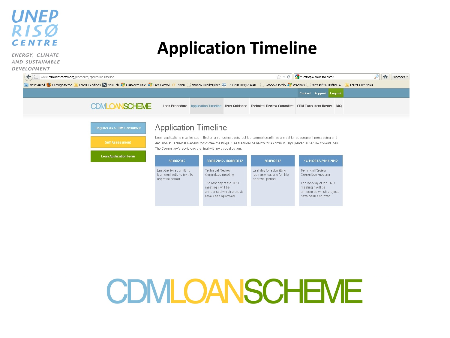#### **UNEP** RISØ **CENTRE**

ENERGY, CLIMATE AND SUSTAINABLE **DE** 

#### **Application Timeline**

| www.cdmloanscheme.org/procedure/application-timeline<br>$\leftarrow$ |                                                                                                                                                                                                                     |            |                                                            |                         | $\mathbb{C} \times \mathbb{C}$                                                                                                                                                                                                                       | $\frac{1}{2}$ = ethiopia hawassa hotels |  | 企 | Feedback * |
|----------------------------------------------------------------------|---------------------------------------------------------------------------------------------------------------------------------------------------------------------------------------------------------------------|------------|------------------------------------------------------------|-------------------------|------------------------------------------------------------------------------------------------------------------------------------------------------------------------------------------------------------------------------------------------------|-----------------------------------------|--|---|------------|
|                                                                      | D Most Visited C Getting Started N Latest Headlines W New Tab A Customize Links A Free Hotmail // Riwen Windows Marketplace C J7D82H13LKQ1Z5NA0 Windows Media A Windows Marke Microsoft%20Office% N Latest CDM News |            |                                                            |                         |                                                                                                                                                                                                                                                      |                                         |  |   |            |
|                                                                      |                                                                                                                                                                                                                     |            |                                                            |                         |                                                                                                                                                                                                                                                      | Contact Support Log out                 |  |   |            |
|                                                                      | <b>CDMLOANSCHEME</b>                                                                                                                                                                                                |            |                                                            |                         | Loan Procedure Application Timeline User Guidance Technical Review Commitee CDM Consultant Roster FAQ                                                                                                                                                |                                         |  |   |            |
|                                                                      | Register as a CDM Consultant                                                                                                                                                                                        |            | <b>Application Timeline</b>                                |                         |                                                                                                                                                                                                                                                      |                                         |  |   |            |
|                                                                      | <b>Self Assessment</b>                                                                                                                                                                                              |            | The Committee's decisions are final with no appeal option. |                         | Loan applications may be submitted on an ongoing basis, but four annual deadlines are set for subsequent processing and<br>decision at Technical Review Committee meetings. See the timeline below for a continuously updated schedule of deadlines. |                                         |  |   |            |
|                                                                      | <b>Loan Application Form</b>                                                                                                                                                                                        | 30/06/2012 |                                                            | 30/08/2012 - 06/09/2012 | 30/09/2012                                                                                                                                                                                                                                           | 14/11/2012-21/11/2012                   |  |   |            |

Technical Review

meeting it will be announced which projects

have been approved

Committee meeting

The last day of the TRC

Last day for submitting

approval period

loan applications for this

Technical Review

Committee meeting

The last day of the TRC meeting it will be

have been approved

announced which projects

Last day for submitting

approval period

loan applications for this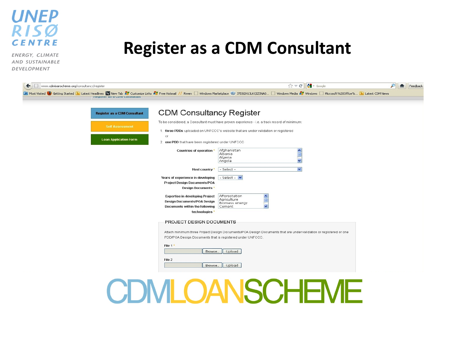

ENERGY, CLIMATE AND SUSTAINABLE DEVELOPMENT

#### **Register as a CDM Consultant**

| $\leftarrow$<br>www.cdmloanscheme.org/consultancy/register                                                                                                                                                                                                                                    |                                                                                                                                  |                                                                                                                                                                                    | $\frac{1}{2}$ + Google<br>$\mathbb{C}$ $\forall$ $\in$ | Feedback |
|-----------------------------------------------------------------------------------------------------------------------------------------------------------------------------------------------------------------------------------------------------------------------------------------------|----------------------------------------------------------------------------------------------------------------------------------|------------------------------------------------------------------------------------------------------------------------------------------------------------------------------------|--------------------------------------------------------|----------|
| D Most Visited <b>@</b> Getting Started <b>&amp;</b> Latest Headlines <b>W</b> New Tab A Customize Links A Free Hotmail // Riwen Nindows Marketplace © J7D82H13LKQIZSNAO Nindows Media A Windows Microsoft%20Office% (3) Latest CDM News<br><b><i><u>Register as a CDM Consultant</u></i></b> |                                                                                                                                  |                                                                                                                                                                                    |                                                        |          |
| <b>Register as a CDM Consultant</b>                                                                                                                                                                                                                                                           | <b>CDM Consultancy Register</b>                                                                                                  |                                                                                                                                                                                    |                                                        |          |
| <b>Self Assessment</b>                                                                                                                                                                                                                                                                        |                                                                                                                                  | To be considered, a Consultant must have proven experience - i.e. a track record of minimum:<br>1. three PDDs uploaded on UNFCCC's website that are under validation or registered |                                                        |          |
| <b>Loan Application Form</b>                                                                                                                                                                                                                                                                  | or<br>2. one PDD that have been registered under UNFCCC                                                                          |                                                                                                                                                                                    |                                                        |          |
|                                                                                                                                                                                                                                                                                               | Countries of operation *                                                                                                         | Afghanistan<br>Albania<br>Algeria<br>Angola                                                                                                                                        |                                                        |          |
|                                                                                                                                                                                                                                                                                               | Host country *                                                                                                                   | - Select -                                                                                                                                                                         | $\checkmark$                                           |          |
|                                                                                                                                                                                                                                                                                               | Years of experience in developing<br><b>Project Design Documents/POA</b><br><b>Design Documents*</b>                             | - Select -                                                                                                                                                                         |                                                        |          |
|                                                                                                                                                                                                                                                                                               | <b>Expertise in developing Project</b><br><b>Design Documents/POA Design</b><br>Documents within the following<br>technologies * | Afforestation<br>Agriculture<br>Biomass energy<br>$\ddotmark$<br>Cement                                                                                                            |                                                        |          |
|                                                                                                                                                                                                                                                                                               | PROJECT DESIGN DOCUMENTS                                                                                                         |                                                                                                                                                                                    |                                                        |          |
|                                                                                                                                                                                                                                                                                               | PDD/POA Design Documents that is registered under UNFCCC.                                                                        | Attach minimum three Project Design Documents/POA Design Documents that are under validation or registered or one                                                                  |                                                        |          |
|                                                                                                                                                                                                                                                                                               | File 1*<br>Browse.                                                                                                               | Upload                                                                                                                                                                             |                                                        |          |
|                                                                                                                                                                                                                                                                                               | File 2<br>Browse.                                                                                                                | Upload                                                                                                                                                                             |                                                        |          |
|                                                                                                                                                                                                                                                                                               |                                                                                                                                  |                                                                                                                                                                                    |                                                        |          |